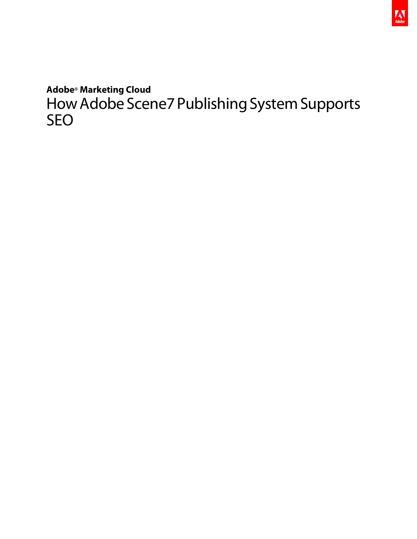**Adobe® Marketing Cloud** How Adobe Scene7 Publishing System Supports SEO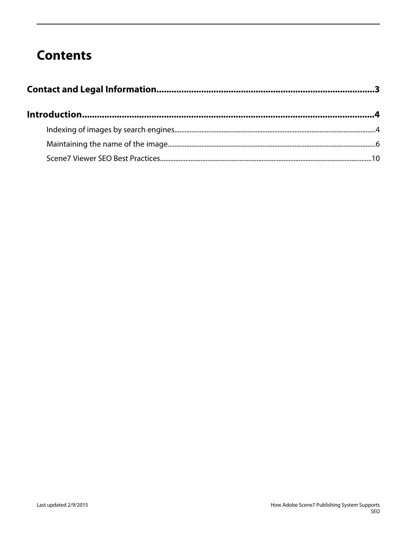# **Contents**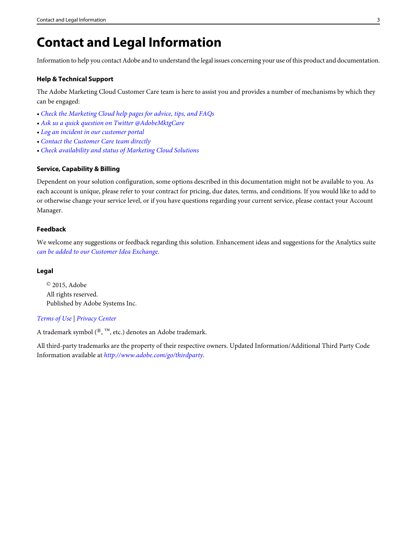# <span id="page-2-0"></span>**Contact and Legal Information**

Information to help you contact Adobe and to understand the legal issues concerning your use of this product and documentation.

## **Help & Technical Support**

The Adobe Marketing Cloud Customer Care team is here to assist you and provides a number of mechanisms by which they can be engaged:

- [Check the Marketing Cloud help pages for advice, tips, and FAQs](http://helpx.adobe.com/marketing-cloud.html)
- [Ask us a quick question on Twitter @AdobeMktgCare](https://twitter.com/AdobeMktgCare)
- [Log an incident in our customer portal](https://customers.omniture.com/login.php)
- [Contact the Customer Care team directly](http://helpx.adobe.com/marketing-cloud/contact-support.html)
- [Check availability and status of Marketing Cloud Solutions](http://status.adobe.com/)

## **Service, Capability & Billing**

Dependent on your solution configuration, some options described in this documentation might not be available to you. As each account is unique, please refer to your contract for pricing, due dates, terms, and conditions. If you would like to add to or otherwise change your service level, or if you have questions regarding your current service, please contact your Account Manager.

### **Feedback**

We welcome any suggestions or feedback regarding this solution. Enhancement ideas and suggestions for the Analytics suite [can be added to our Customer Idea Exchange](https://my.omniture.com/login/?r=%2Fp%2Fsuite%2Fcurrent%2Findex.html%3Fa%3DIdeasExchange.Redirect%26redirectreason%3Dnotregistered%26referer%3Dhttp%253A%252F%252Fideas.omniture.com%252Ft5%252FAdobe-Idea-Exchange-for-Omniture%252Fidb-p%252FIdeaExchange3).

#### **Legal**

© 2015, Adobe All rights reserved. Published by Adobe Systems Inc.

# [Terms of Use](http://microsite.omniture.com/t2/help/terms.html?type=prod&locale=en_US) | [Privacy Center](http://www.adobe.com/privacy.html)

A trademark symbol $(\text{\textensure{\$}}^{\text{\tiny{\text{TM}}}}$ , etc.) denotes an Adobe trademark.

All third-party trademarks are the property of their respective owners. Updated Information/Additional Third Party Code Information available at [http://www.adobe.com/go/thirdparty](http://www.adobe.com/products/eula/third_party/).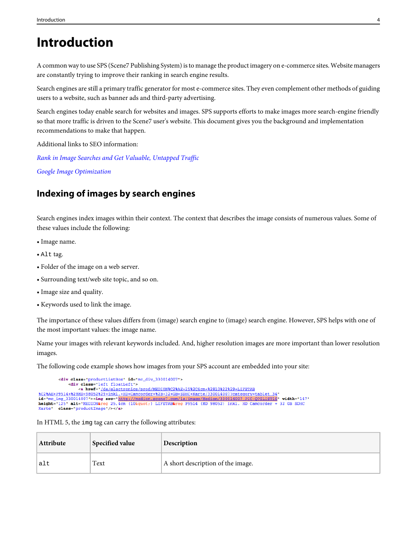# <span id="page-3-0"></span>**Introduction**

A common way to use SPS (Scene7 Publishing System) is to manage the product imagery on e-commerce sites. Website managers are constantly trying to improve their ranking in search engine results.

Search engines are still a primary traffic generator for most e-commerce sites. They even complement other methods of guiding users to a website, such as banner ads and third-party advertising.

Search engines today enable search for websites and images. SPS supports efforts to make images more search-engine friendly so that more traffic is driven to the Scene7 user's website. This document gives you the background and implementation recommendations to make that happen.

Additional links to SEO information:

<span id="page-3-1"></span>[Rank in Image Searches and Get Valuable, Untapped Traffic](http://www.webpronews.com/rank-in-image-searches-and-get-valuable-untapped-traffic-2009-08) [Google Image Optimization](https://www.searchenginegenie.com/ca/google-image-optimization.html)

# **Indexing of images by search engines**

Search engines index images within their context. The context that describes the image consists of numerous values. Some of these values include the following:

- Image name.
- Alt tag.
- Folder of the image on a web server.
- Surrounding text/web site topic, and so on.
- Image size and quality.
- Keywords used to link the image.

The importance of these values differs from (image) search engine to (image) search engine. However, SPS helps with one of the most important values: the image name.

Name your images with relevant keywords included. And, higher resolution images are more important than lower resolution images.

The following code example shows how images from your SPS account are embedded into your site:

```
<div class="productListBox" id="mc_div_330014007">
                <div class="left floatLeft">
                     <a href="/de/electronics/prod/MEDION%C2%AE+25%2C4cm+%2810%22%29+LIFETAB
%C2%AE+P9514+%28MD+98052%29+inkl.+HD+Camcorder+%2B+32+GB+SDHC+Karte/330014007?category=tablet 34"
id="mc_ing_330014007"><img src="http://medion.scene7.com/is/image/Medion/330014007 PIC-Q?$LISTIS" width="147"<br>height="125" alt="MEDION&reg 25,4cm (10&quot;) LIFETAB&reg P9514 (MD 98052) inkl. HD Camcorder + 32 GB SDHC<br>Kart
```

|  |  |  | In HTML 5, the img tag can carry the following attributes: |  |
|--|--|--|------------------------------------------------------------|--|
|--|--|--|------------------------------------------------------------|--|

| <b>Attribute</b> | Specified value | Description                       |
|------------------|-----------------|-----------------------------------|
| lalt             | Text            | A short description of the image. |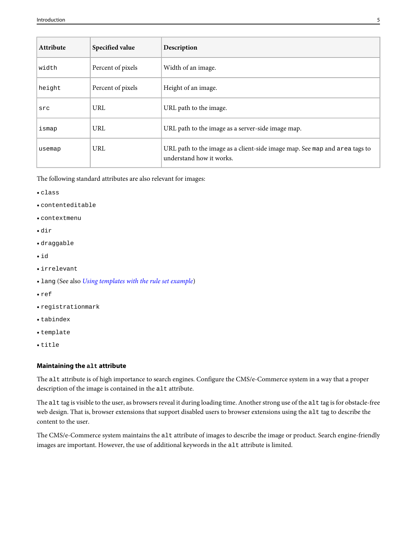| <b>Attribute</b> | Specified value   | Description                                                                                            |
|------------------|-------------------|--------------------------------------------------------------------------------------------------------|
| width            | Percent of pixels | Width of an image.                                                                                     |
| height           | Percent of pixels | Height of an image.                                                                                    |
| src              | URL               | URL path to the image.                                                                                 |
| ismap            | URL               | URL path to the image as a server-side image map.                                                      |
| usemap           | URL               | URL path to the image as a client-side image map. See map and area tags to<br>understand how it works. |

The following standard attributes are also relevant for images:

- class
- contenteditable
- contextmenu
- dir
- draggable
- id
- irrelevant
- lang (See also [Using templates with the rule set example](#page-8-0))
- ref
- registrationmark
- tabindex
- template
- title

### **Maintaining the alt attribute**

The alt attribute is of high importance to search engines. Configure the CMS/e-Commerce system in a way that a proper description of the image is contained in the alt attribute.

The alt tag is visible to the user, as browsers reveal it during loading time. Another strong use of the alt tag is for obstacle-free web design. That is, browser extensions that support disabled users to browser extensions using the alt tag to describe the content to the user.

The CMS/e-Commerce system maintains the alt attribute of images to describe the image or product. Search engine-friendly images are important. However, the use of additional keywords in the alt attribute is limited.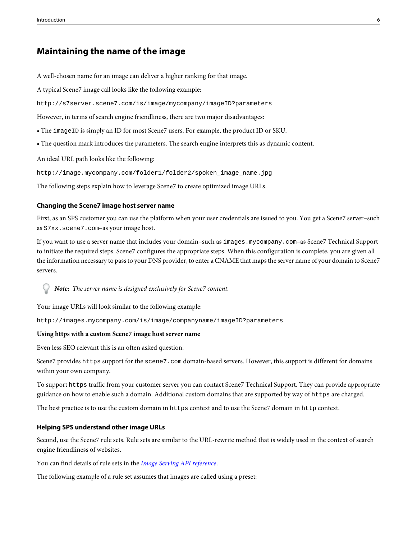# <span id="page-5-0"></span>**Maintaining the name of the image**

A well-chosen name for an image can deliver a higher ranking for that image.

A typical Scene7 image call looks like the following example:

http://s7server.scene7.com/is/image/mycompany/imageID?parameters

However, in terms of search engine friendliness, there are two major disadvantages:

- The imageID is simply an ID for most Scene7 users. For example, the product ID or SKU.
- The question mark introduces the parameters. The search engine interprets this as dynamic content.

An ideal URL path looks like the following:

http://image.mycompany.com/folder1/folder2/spoken\_image\_name.jpg

The following steps explain how to leverage Scene7 to create optimized image URLs.

#### **Changing the Scene7 image host server name**

First, as an SPS customer you can use the platform when your user credentials are issued to you. You get a Scene7 server–such as S7xx.scene7.com–as your image host.

If you want to use a server name that includes your domain–such as images.mycompany.com–as Scene7 Technical Support to initiate the required steps. Scene7 configures the appropriate steps. When this configuration is complete, you are given all the information necessary to pass to your DNS provider, to enter a CNAME that maps the server name of your domain to Scene7 servers.



Your image URLs will look similar to the following example:

http://images.mycompany.com/is/image/companyname/imageID?parameters

#### **Using https with a custom Scene7 image host server name**

Even less SEO relevant this is an often asked question.

Scene7 provides https support for the scene7.com domain-based servers. However, this support is different for domains within your own company.

To support https traffic from your customer server you can contact Scene7 Technical Support. They can provide appropriate guidance on how to enable such a domain. Additional custom domains that are supported by way of https are charged.

The best practice is to use the custom domain in https context and to use the Scene7 domain in http context.

#### **Helping SPS understand other image URLs**

Second, use the Scene7 rule sets. Rule sets are similar to the URL-rewrite method that is widely used in the context of search engine friendliness of websites.

You can find details of rule sets in the *[Image Serving API reference](https://marketing.adobe.com/resources/help/en_US/s7/is_ir_api/is_api/image_catalog/c_rule_set_reference.html)*.

The following example of a rule set assumes that images are called using a preset: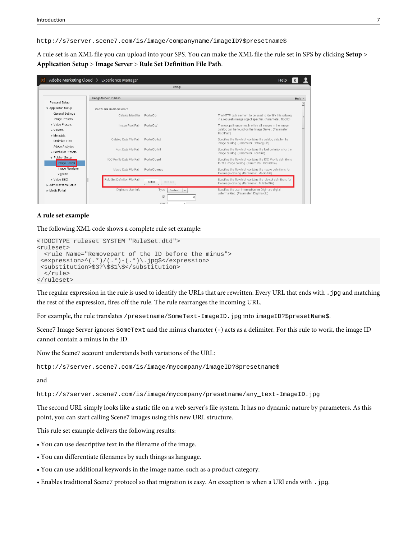http://s7server.scene7.com/is/image/companyname/imageID?\$presetname\$

A rule set is an XML file you can upload into your SPS. You can make the XML file the rule set in SPS by clicking **Setup** > **Application Setup** > **Image Server** > **Rule Set Definition File Path**.

| Ο                                                          | Adobe Marketing Cloud > Experience Manager |                                                                            | Help                                                                                                                         |
|------------------------------------------------------------|--------------------------------------------|----------------------------------------------------------------------------|------------------------------------------------------------------------------------------------------------------------------|
|                                                            |                                            | Setup                                                                      |                                                                                                                              |
|                                                            | Image Server Publish                       |                                                                            | Help -                                                                                                                       |
| Personal Setup                                             |                                            |                                                                            |                                                                                                                              |
| ▼ Application Setup                                        | <b>CATALOG MANAGEMENT</b>                  |                                                                            |                                                                                                                              |
| General Settings<br>Image Presets                          | Catalog Identifier                         | PortalCo                                                                   | The HTTP path element to be used to identify this catalog<br>in a request's image object specifier. (Parameter: RootId)      |
| $\triangleright$ Video Presets<br>$\triangleright$ Viewers | Image Root Path                            | PortalCo/                                                                  | The root path underneath which all images in the image<br>catalog can be found on the Image Server. (Parameter:<br>RootPath) |
| $\triangleright$ Metadata<br>Optimize Files                | Catalog Data File Path                     | PortalCo.txt                                                               | Specifies the file which contains the catalog data for the<br>image catalog. (Parameter: CatalogFile)                        |
| Adobe Analytics<br>Batch Set Presets                       | Font Data File Path                        | PortalCo.fnt                                                               | Specifies the file which contains the font definitions for the<br>image catalog. (Parameter: FontFile)                       |
| ▼ Publish Setup<br>Image Server                            | ICC Profile Data File Path                 | PortalCo.prf                                                               | Specifies the file which contains the ICC Profile definitions<br>for the image catalog. (Parameter: ProfileFile)             |
| Image Renderer<br>Vignette                                 | Macro Data File Path                       | PortalCo.mac                                                               | Specifies the file which contains the macro definitions for<br>the image catalog. (Parameter: MacroFile)                     |
| $\triangleright$ Video SEO<br>Administration Setup         | Rule Set Definition File Path              | Select<br>Remove                                                           | Specifies the file which contains the rule set definitions for<br>the image catalog. (Parameter: RuleSetFile)                |
| Media Portal                                               | Digimarc User Info                         | Type<br>Disabled<br>$\overline{\phantom{a}}$<br>ID<br><b>PIN</b><br>$\sim$ | Specifies the user information for Digimarc digital<br>watermarking. (Parameter: DigimarcId)                                 |

#### **A rule set example**

The following XML code shows a complete rule set example:

```
<!DOCTYPE ruleset SYSTEM "RuleSet.dtd">
<ruleset>
  <rule Name="Removepart of the ID before the minus">
 <expression>^(.*)/(.*)-(.*)\.jpg$</expression>
 <substitution>$3?\$$1\$</substitution>
 \langlerule>
</ruleset>
```
The regular expression in the rule is used to identify the URLs that are rewritten. Every URL that ends with .jpg and matching the rest of the expression, fires off the rule. The rule rearranges the incoming URL.

For example, the rule translates /presetname/SomeText-ImageID.jpg into imageID?\$presetName\$.

Scene7 Image Server ignores SomeText and the minus character (-) acts as a delimiter. For this rule to work, the image ID cannot contain a minus in the ID.

Now the Scene7 account understands both variations of the URL:

http://s7server.scene7.com/is/image/mycompany/imageID?\$presetname\$

and

http://s7server.scene7.com/is/image/mycompany/presetname/any\_text-ImageID.jpg

The second URL simply looks like a static file on a web server's file system. It has no dynamic nature by parameters. As this point, you can start calling Scene7 images using this new URL structure.

This rule set example delivers the following results:

- You can use descriptive text in the filename of the image.
- You can differentiate filenames by such things as language.
- You can use additional keywords in the image name, such as a product category.
- Enables traditional Scene7 protocol so that migration is easy. An exception is when a URl ends with .jpg.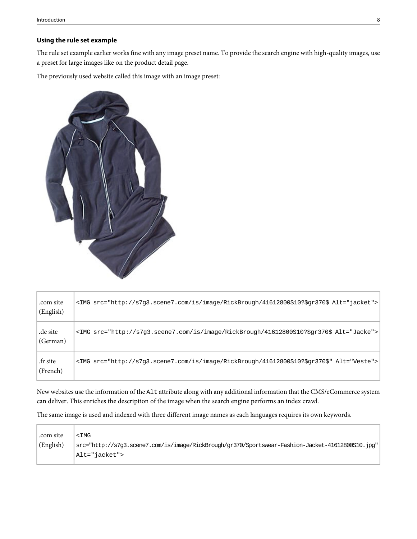## **Using the rule set example**

The rule set example earlier works fine with any image preset name. To provide the search engine with high-quality images, use a preset for large images like on the product detail page.

The previously used website called this image with an image preset:



| .com site<br>(English) | <img jacket"="" src="http://s7q3.scene7.com/is/image/RickBrough/41612800S10?\$qr370\$ Alt="/> |  |
|------------------------|-----------------------------------------------------------------------------------------------|--|
| .de site<br>(German)   | <img jacke"="" src="http://s7q3.scene7.com/is/image/RickBrough/41612800S10?\$qr370\$ Alt="/>  |  |
| .fr site<br>(French)   | <img alt="Veste" src="http://s7q3.scene7.com/is/image/RickBrough/41612800S10?\$qr370\$"/>     |  |

New websites use the information of the Alt attribute along with any additional information that the CMS/eCommerce system can deliver. This enriches the description of the image when the search engine performs an index crawl.

The same image is used and indexed with three different image names as each languages requires its own keywords.

| .com site | <img< td=""></img<>                                                                              |
|-----------|--------------------------------------------------------------------------------------------------|
| (English) | src="http://s7q3.scene7.com/is/image/RickBrough/gr370/Sportswear-Fashion-Jacket-41612800S10.jpg" |
|           | Alt="jacket">                                                                                    |
|           |                                                                                                  |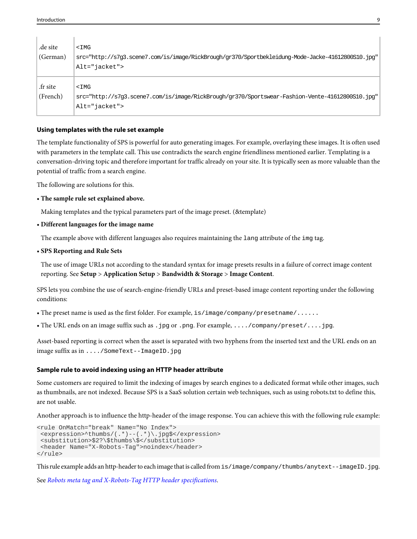| .de site<br>(German) | <img<br>src="http://s7g3.scene7.com/is/image/RickBrough/gr370/Sportbekleidung-Mode-Jacke-41612800S10.jpg"<br/>Alt="jacket"&gt;</img<br> |
|----------------------|-----------------------------------------------------------------------------------------------------------------------------------------|
| .fr site<br>(French) | <img<br>src="http://s7g3.scene7.com/is/image/RickBrough/gr370/Sportswear-Fashion-Vente-41612800S10.jpg"<br/>Alt="jacket"&gt;</img<br>   |

#### <span id="page-8-0"></span>**Using templates with the rule set example**

The template functionality of SPS is powerful for auto generating images. For example, overlaying these images. It is often used with parameters in the template call. This use contradicts the search engine friendliness mentioned earlier. Templating is a conversation-driving topic and therefore important for traffic already on your site. It is typically seen as more valuable than the potential of traffic from a search engine.

The following are solutions for this.

• **The sample rule set explained above.**

Making templates and the typical parameters part of the image preset. (&template)

• **Different languages for the image name**

The example above with different languages also requires maintaining the lang attribute of the img tag.

• **SPS Reporting and Rule Sets**

The use of image URLs not according to the standard syntax for image presets results in a failure of correct image content reporting. See **Setup** > **Application Setup** > **Bandwidth & Storage** > **Image Content**.

SPS lets you combine the use of search-engine-friendly URLs and preset-based image content reporting under the following conditions:

- The preset name is used as the first folder. For example, is/image/company/presetname/......
- The URL ends on an image suffix such as .jpg or .png. For example, ..../company/preset/....jpg.

Asset-based reporting is correct when the asset is separated with two hyphens from the inserted text and the URL ends on an image suffix as in ..../SomeText--ImageID.jpg

#### **Sample rule to avoid indexing using an HTTP header attribute**

Some customers are required to limit the indexing of images by search engines to a dedicated format while other images, such as thumbnails, are not indexed. Because SPS is a SaaS solution certain web techniques, such as using robots.txt to define this, are not usable.

Another approach is to influence the http-header of the image response. You can achieve this with the following rule example:

```
<rule OnMatch="break" Name="No Index">
 <expression>^thumbs/(.*)--(.*)\.jpg$</expression>
 <substitution>$2?\$thumbs\$</substitution>
 <header Name="X-Robots-Tag">noindex</header>
</rule>
```
This rule example adds an http-header to each image that is called from is/image/company/thumbs/anytext--imageID.jpg.

See [Robots meta tag and X-Robots-Tag HTTP header specifications](https://developers.google.com/webmasters/control-crawl-index/docs/robots_meta_tag).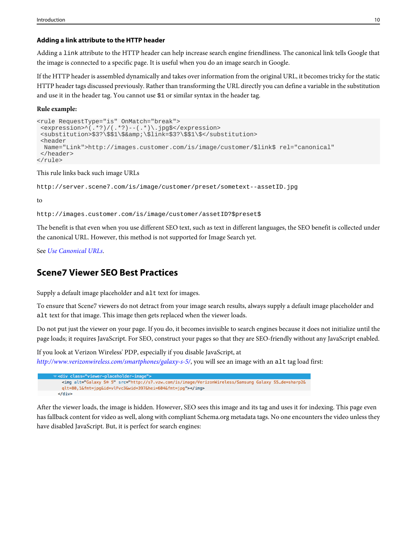#### **Adding a link attribute to the HTTP header**

Adding a link attribute to the HTTP header can help increase search engine friendliness. The canonical link tells Google that the image is connected to a specific page. It is useful when you do an image search in Google.

If the HTTP header is assembled dynamically and takes over information from the original URL, it becomes tricky for the static HTTP header tags discussed previously. Rather than transforming the URL directly you can define a variable in the substitution and use it in the header tag. You cannot use \$1 or similar syntax in the header tag.

#### **Rule example:**

```
<rule RequestType="is" OnMatch="break">
\frac{1}{2} <expression>^(.*?)/(.*?)--(.*)\.jpg$</expression>
<substitution>$3?\$$1\$&amp;\$link=$3?\$$1\$</substitution>
 <header 
  Name="Link">http://images.customer.com/is/image/customer/$link$ rel="canonical"
 </header>
</rule>
```
### This rule links back such image URLs

```
http://server.scene7.com/is/image/customer/preset/sometext--assetID.jpg
```
to

http://images.customer.com/is/image/customer/assetID?\$preset\$

The benefit is that even when you use different SEO text, such as text in different languages, the SEO benefit is collected under the canonical URL. However, this method is not supported for Image Search yet.

<span id="page-9-0"></span>See [Use Canonical URLs](https://support.google.com/webmasters/answer/139066?hl=en).

# **Scene7 Viewer SEO Best Practices**

Supply a default image placeholder and alt text for images.

To ensure that Scene7 viewers do not detract from your image search results, always supply a default image placeholder and alt text for that image. This image then gets replaced when the viewer loads.

Do not put just the viewer on your page. If you do, it becomes invisible to search engines because it does not initialize until the page loads; it requires JavaScript. For SEO, construct your pages so that they are SEO-friendly without any JavaScript enabled.

If you look at Verizon Wireless' PDP, especially if you disable JavaScript, at <http://www.verizonwireless.com/smartphones/galaxy-s-5/>, you will see an image with an alt tag load first:



After the viewer loads, the image is hidden. However, SEO sees this image and its tag and uses it for indexing. This page even has fallback content for video as well, along with compliant Schema.org metadata tags. No one encounters the video unless they have disabled JavaScript. But, it is perfect for search engines: